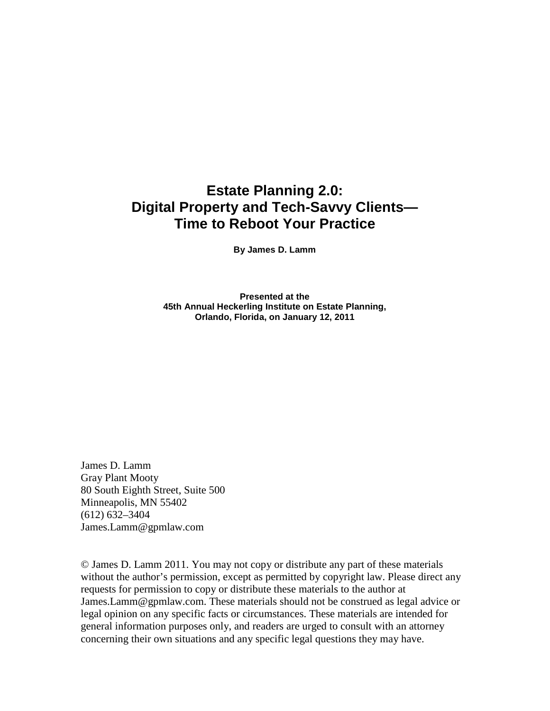## **Estate Planning 2.0: Digital Property and Tech-Savvy Clients— Time to Reboot Your Practice**

**By James D. Lamm** 

**Presented at the 45th Annual Heckerling Institute on Estate Planning, Orlando, Florida, on January 12, 2011** 

James D. Lamm Gray Plant Mooty 80 South Eighth Street, Suite 500 Minneapolis, MN 55402 (612) 632–3404 James.Lamm@gpmlaw.com

© James D. Lamm 2011. You may not copy or distribute any part of these materials without the author's permission, except as permitted by copyright law. Please direct any requests for permission to copy or distribute these materials to the author at James.Lamm@gpmlaw.com. These materials should not be construed as legal advice or legal opinion on any specific facts or circumstances. These materials are intended for general information purposes only, and readers are urged to consult with an attorney concerning their own situations and any specific legal questions they may have.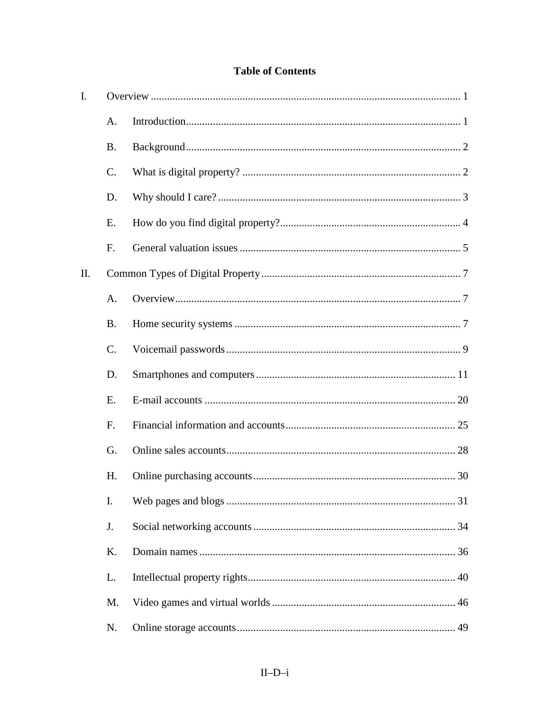## **Table of Contents**

| I. |           |  |
|----|-----------|--|
|    | A.        |  |
|    | <b>B.</b> |  |
|    | $C$ .     |  |
|    | D.        |  |
|    | E.        |  |
|    | F.        |  |
| Π. |           |  |
|    | A.        |  |
|    | <b>B.</b> |  |
|    | $C$ .     |  |
|    | D.        |  |
|    | E.        |  |
|    | F.        |  |
|    | G.        |  |
|    | H.        |  |
|    | I.        |  |
|    | J.        |  |
|    | K.        |  |
|    | L.        |  |
|    | M.        |  |
|    | N.        |  |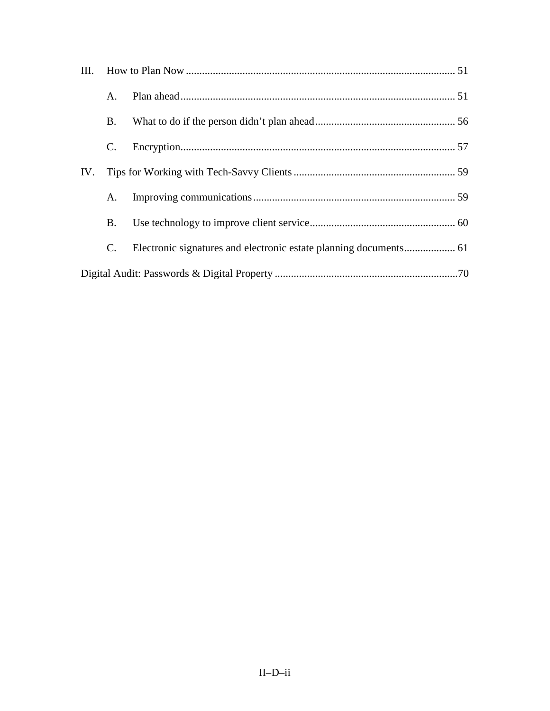| III. |             |  |  |  |
|------|-------------|--|--|--|
| IV.  | $A_{\cdot}$ |  |  |  |
|      | B.          |  |  |  |
|      | C.          |  |  |  |
|      |             |  |  |  |
|      | А.          |  |  |  |
|      | B.          |  |  |  |
|      | C.          |  |  |  |
|      |             |  |  |  |